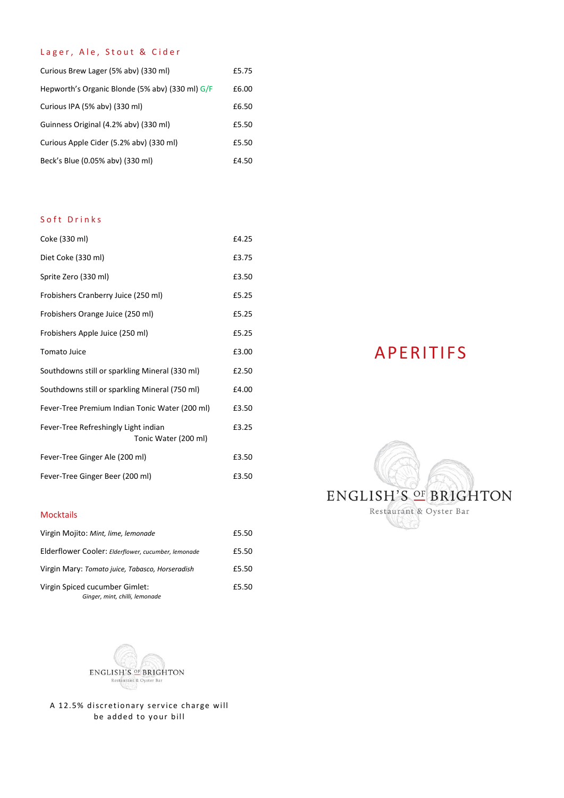# Lager, Ale, Stout & Cider

| Curious Brew Lager (5% abv) (330 ml)            | £5.75 |
|-------------------------------------------------|-------|
| Hepworth's Organic Blonde (5% aby) (330 ml) G/F | £6.00 |
| Curious IPA (5% abv) (330 ml)                   | £6.50 |
| Guinness Original (4.2% abv) (330 ml)           | £5.50 |
| Curious Apple Cider (5.2% aby) (330 ml)         | £5.50 |
| Beck's Blue (0.05% aby) (330 ml)                | £4.50 |

## Soft Drinks

| Coke (330 ml)                                                | £4.25 |
|--------------------------------------------------------------|-------|
| Diet Coke (330 ml)                                           | £3.75 |
| Sprite Zero (330 ml)                                         | £3.50 |
| Frobishers Cranberry Juice (250 ml)                          | £5.25 |
| Frobishers Orange Juice (250 ml)                             | £5.25 |
| Frobishers Apple Juice (250 ml)                              | £5.25 |
| <b>Tomato Juice</b>                                          | £3.00 |
| Southdowns still or sparkling Mineral (330 ml)               | £2.50 |
| Southdowns still or sparkling Mineral (750 ml)               | £4.00 |
| Fever-Tree Premium Indian Tonic Water (200 ml)               | £3.50 |
| Fever-Tree Refreshingly Light indian<br>Tonic Water (200 ml) | £3.25 |
| Fever-Tree Ginger Ale (200 ml)                               | £3.50 |
| Fever-Tree Ginger Beer (200 ml)                              | £3.50 |

# Mocktails

| Virgin Mojito: Mint, lime, lemonade                              | £5.50 |
|------------------------------------------------------------------|-------|
| Elderflower Cooler: Elderflower, cucumber, lemonade              | £5.50 |
| Virgin Mary: Tomato juice, Tabasco, Horseradish                  | £5.50 |
| Virgin Spiced cucumber Gimlet:<br>Ginger, mint, chilli, lemonade | £5.50 |



A 12.5% discretionary service charge will be added to your bill

# APERITIFS